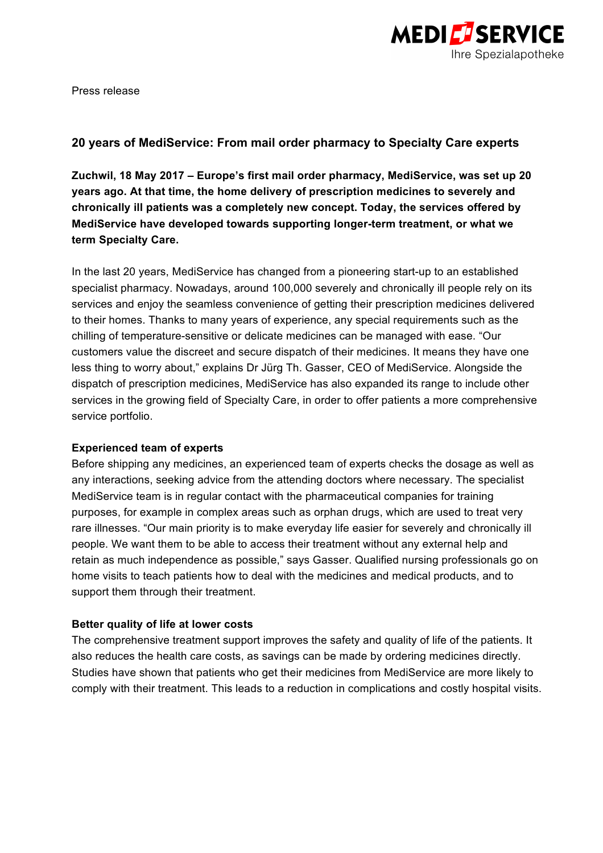

Press release

# **20 years of MediService: From mail order pharmacy to Specialty Care experts**

**Zuchwil, 18 May 2017 – Europe's first mail order pharmacy, MediService, was set up 20 years ago. At that time, the home delivery of prescription medicines to severely and chronically ill patients was a completely new concept. Today, the services offered by MediService have developed towards supporting longer-term treatment, or what we term Specialty Care.**

In the last 20 years, MediService has changed from a pioneering start-up to an established specialist pharmacy. Nowadays, around 100,000 severely and chronically ill people rely on its services and enjoy the seamless convenience of getting their prescription medicines delivered to their homes. Thanks to many years of experience, any special requirements such as the chilling of temperature-sensitive or delicate medicines can be managed with ease. "Our customers value the discreet and secure dispatch of their medicines. It means they have one less thing to worry about," explains Dr Jürg Th. Gasser, CEO of MediService. Alongside the dispatch of prescription medicines, MediService has also expanded its range to include other services in the growing field of Specialty Care, in order to offer patients a more comprehensive service portfolio.

## **Experienced team of experts**

Before shipping any medicines, an experienced team of experts checks the dosage as well as any interactions, seeking advice from the attending doctors where necessary. The specialist MediService team is in regular contact with the pharmaceutical companies for training purposes, for example in complex areas such as orphan drugs, which are used to treat very rare illnesses. "Our main priority is to make everyday life easier for severely and chronically ill people. We want them to be able to access their treatment without any external help and retain as much independence as possible," says Gasser. Qualified nursing professionals go on home visits to teach patients how to deal with the medicines and medical products, and to support them through their treatment.

# **Better quality of life at lower costs**

The comprehensive treatment support improves the safety and quality of life of the patients. It also reduces the health care costs, as savings can be made by ordering medicines directly. Studies have shown that patients who get their medicines from MediService are more likely to comply with their treatment. This leads to a reduction in complications and costly hospital visits.